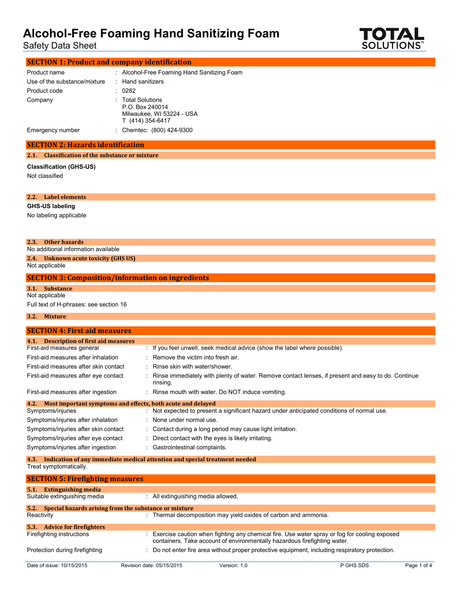Safety Data Sheet



| <b>SECTION 1: Product and company identification</b> |  |                                                                                       |  |
|------------------------------------------------------|--|---------------------------------------------------------------------------------------|--|
| Product name                                         |  | : Alcohol-Free Foaming Hand Sanitizing Foam                                           |  |
| Use of the substance/mixture                         |  | : Hand sanitizers                                                                     |  |
| Product code                                         |  | : 0282                                                                                |  |
| Company                                              |  | : Total Solutions<br>P.O. Box 240014<br>Milwaukee, WI 53224 - USA<br>T (414) 354-6417 |  |
| Emergency number                                     |  | Chemtec: (800) 424-9300                                                               |  |

#### **SECTION 2: Hazards identification**

**2.1. Classification of the substance or mixture**

#### **Classification (GHS-US)**

| Not classified                                                                                               |                                                                                                                                                                             |
|--------------------------------------------------------------------------------------------------------------|-----------------------------------------------------------------------------------------------------------------------------------------------------------------------------|
| Label elements<br>2.2.                                                                                       |                                                                                                                                                                             |
| <b>GHS-US labeling</b>                                                                                       |                                                                                                                                                                             |
| No labeling applicable                                                                                       |                                                                                                                                                                             |
| <b>Other hazards</b><br>2.3.<br>No additional information available                                          |                                                                                                                                                                             |
| 2.4. Unknown acute toxicity (GHS US)<br>Not applicable                                                       |                                                                                                                                                                             |
| <b>SECTION 3: Composition/information on ingredients</b>                                                     |                                                                                                                                                                             |
| 3.1. Substance                                                                                               |                                                                                                                                                                             |
| Not applicable                                                                                               |                                                                                                                                                                             |
| Full text of H-phrases: see section 16                                                                       |                                                                                                                                                                             |
| <b>Mixture</b><br>3.2.                                                                                       |                                                                                                                                                                             |
| <b>SECTION 4: First aid measures</b>                                                                         |                                                                                                                                                                             |
| 4.1. Description of first aid measures<br>First-aid measures general                                         | : If you feel unwell, seek medical advice (show the label where possible).                                                                                                  |
| First-aid measures after inhalation                                                                          | Remove the victim into fresh air.                                                                                                                                           |
| First-aid measures after skin contact                                                                        | Rinse skin with water/shower.                                                                                                                                               |
| First-aid measures after eye contact                                                                         | Rinse immediately with plenty of water. Remove contact lenses, if present and easy to do. Continue<br>rinsing.                                                              |
| First-aid measures after ingestion                                                                           | Rinse mouth with water. Do NOT induce vomiting.                                                                                                                             |
| Most important symptoms and effects, both acute and delayed<br>4.2.                                          |                                                                                                                                                                             |
| Symptoms/injuries                                                                                            | : Not expected to present a significant hazard under anticipated conditions of normal use.                                                                                  |
| Symptoms/injuries after inhalation                                                                           | None under normal use.                                                                                                                                                      |
| Symptoms/injuries after skin contact                                                                         | Contact during a long period may cause light irritation.                                                                                                                    |
| Symptoms/injuries after eye contact                                                                          | Direct contact with the eyes is likely irritating.                                                                                                                          |
| Symptoms/injuries after ingestion                                                                            | Gastrointestinal complaints.                                                                                                                                                |
| Indication of any immediate medical attention and special treatment needed<br>4.3.<br>Treat symptomatically. |                                                                                                                                                                             |
| <b>SECTION 5: Firefighting measures</b>                                                                      |                                                                                                                                                                             |
| 5.1. Extinguishing media                                                                                     |                                                                                                                                                                             |
| Suitable extinguishing media                                                                                 | : All extinguishing media allowed.                                                                                                                                          |
| Special hazards arising from the substance or mixture<br>5.2.<br>Reactivity                                  | : Thermal decomposition may yield oxides of carbon and ammonia.                                                                                                             |
| 5.3. Advice for firefighters                                                                                 |                                                                                                                                                                             |
| Firefighting instructions                                                                                    | : Exercise caution when fighting any chemical fire. Use water spray or fog for cooling exposed<br>containers. Take account of environmentally hazardous firefighting water. |
| Protection during firefighting                                                                               | Do not enter fire area without proper protective equipment, including respiratory protection.                                                                               |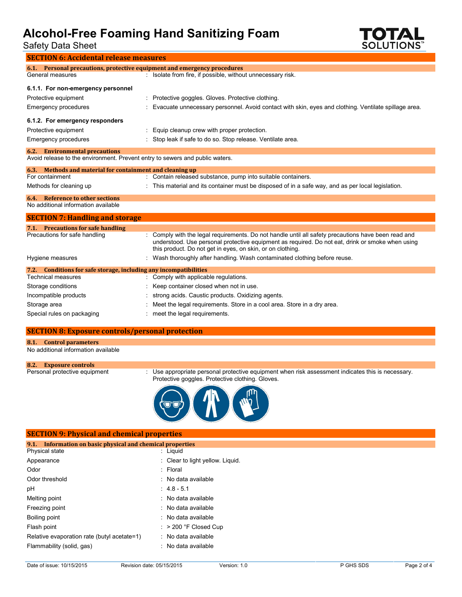Safety Data Sheet



| <b>SECTION 6: Accidental release measures</b>                                                |                                                                                                                                                                                                                                                                       |  |  |  |
|----------------------------------------------------------------------------------------------|-----------------------------------------------------------------------------------------------------------------------------------------------------------------------------------------------------------------------------------------------------------------------|--|--|--|
|                                                                                              |                                                                                                                                                                                                                                                                       |  |  |  |
| 6.1. Personal precautions, protective equipment and emergency procedures<br>General measures |                                                                                                                                                                                                                                                                       |  |  |  |
|                                                                                              | : Isolate from fire, if possible, without unnecessary risk.                                                                                                                                                                                                           |  |  |  |
| 6.1.1. For non-emergency personnel                                                           |                                                                                                                                                                                                                                                                       |  |  |  |
| Protective equipment                                                                         | : Protective goggles. Gloves. Protective clothing.                                                                                                                                                                                                                    |  |  |  |
| Emergency procedures                                                                         | Evacuate unnecessary personnel. Avoid contact with skin, eyes and clothing. Ventilate spillage area.                                                                                                                                                                  |  |  |  |
| 6.1.2. For emergency responders                                                              |                                                                                                                                                                                                                                                                       |  |  |  |
| Protective equipment                                                                         | Equip cleanup crew with proper protection.                                                                                                                                                                                                                            |  |  |  |
| Emergency procedures                                                                         | Stop leak if safe to do so. Stop release. Ventilate area.                                                                                                                                                                                                             |  |  |  |
| <b>6.2.</b> Environmental precautions                                                        |                                                                                                                                                                                                                                                                       |  |  |  |
| Avoid release to the environment. Prevent entry to sewers and public waters.                 |                                                                                                                                                                                                                                                                       |  |  |  |
| 6.3. Methods and material for containment and cleaning up                                    |                                                                                                                                                                                                                                                                       |  |  |  |
| For containment                                                                              | : Contain released substance, pump into suitable containers.                                                                                                                                                                                                          |  |  |  |
| Methods for cleaning up                                                                      | This material and its container must be disposed of in a safe way, and as per local legislation.                                                                                                                                                                      |  |  |  |
| 6.4. Reference to other sections                                                             |                                                                                                                                                                                                                                                                       |  |  |  |
| No additional information available                                                          |                                                                                                                                                                                                                                                                       |  |  |  |
| <b>SECTION 7: Handling and storage</b>                                                       |                                                                                                                                                                                                                                                                       |  |  |  |
| 7.1. Precautions for safe handling                                                           |                                                                                                                                                                                                                                                                       |  |  |  |
| Precautions for safe handling                                                                | : Comply with the legal requirements. Do not handle until all safety precautions have been read and<br>understood. Use personal protective equipment as required. Do not eat, drink or smoke when using<br>this product. Do not get in eyes, on skin, or on clothing. |  |  |  |
| Hygiene measures                                                                             | : Wash thoroughly after handling. Wash contaminated clothing before reuse.                                                                                                                                                                                            |  |  |  |
| 7.2. Conditions for safe storage, including any incompatibilities                            |                                                                                                                                                                                                                                                                       |  |  |  |
| <b>Technical measures</b>                                                                    | : Comply with applicable regulations.                                                                                                                                                                                                                                 |  |  |  |
| Storage conditions                                                                           | Keep container closed when not in use.                                                                                                                                                                                                                                |  |  |  |
| Incompatible products                                                                        | strong acids. Caustic products. Oxidizing agents.                                                                                                                                                                                                                     |  |  |  |
| Storage area                                                                                 | Meet the legal requirements. Store in a cool area. Store in a dry area.                                                                                                                                                                                               |  |  |  |
| Special rules on packaging                                                                   | meet the legal requirements.                                                                                                                                                                                                                                          |  |  |  |

### **SECTION 8: Exposure controls/personal protection**

**8.1. Control parameters**

No additional information available

```
8.2. Exposure controls
```
: Use appropriate personal protective equipment when risk assessment indicates this is necessary. Protective goggles. Protective clothing. Gloves.



#### **SECTION 9: Physical and chemical properties**

| 9.1. Information on basic physical and chemical properties |                                  |
|------------------------------------------------------------|----------------------------------|
| <b>Physical state</b>                                      | : Liguid                         |
| Appearance                                                 | : Clear to light yellow. Liquid. |
| Odor                                                       | : Floral                         |
| Odor threshold                                             | : No data available              |
| рH                                                         | $: 4.8 - 5.1$                    |
| Melting point                                              | : No data available              |
| Freezing point                                             | : No data available              |
| Boiling point                                              | : No data available              |
| Flash point                                                | $:$ > 200 °F Closed Cup          |
| Relative evaporation rate (butyl acetate=1)                | : No data available              |
| Flammability (solid, gas)                                  | : No data available              |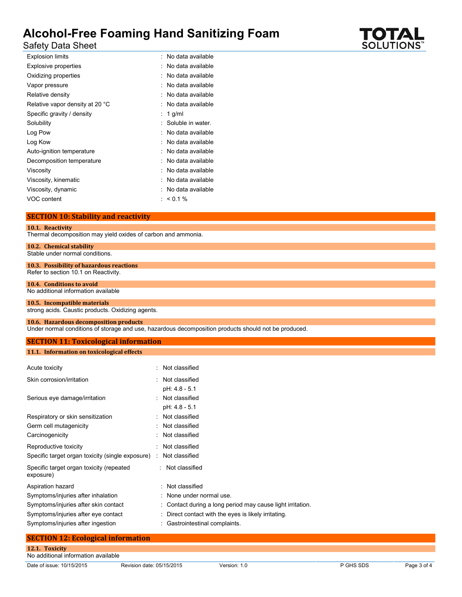Safety Data Sheet

| Explosion limits                | : No data available |
|---------------------------------|---------------------|
| <b>Explosive properties</b>     | : No data available |
| Oxidizing properties            | : No data available |
| Vapor pressure                  | No data available   |
| Relative density                | : No data available |
| Relative vapor density at 20 °C | : No data available |
| Specific gravity / density      | 1 $g/ml$            |
| Solubility                      | Soluble in water.   |
| Log Pow                         | : No data available |
| Log Kow                         | : No data available |
| Auto-ignition temperature       | : No data available |
| Decomposition temperature       | : No data available |
| Viscosity                       | : No data available |
| Viscosity, kinematic            | : No data available |
| Viscosity, dynamic              | : No data available |
| VOC content                     | : $< 0.1 \%$        |

#### **SECTION 10: Stability and reactivity**

#### **10.1. Reactivity**

Thermal decomposition may yield oxides of carbon and ammonia.

### **10.2. Chemical stability**

Stable under normal conditions.

#### **10.3. Possibility of hazardous reactions** Refer to section 10.1 on Reactivity.

#### **10.4. Conditions to avoid** No additional information available

#### **10.5. Incompatible materials** strong acids. Caustic products. Oxidizing agents.

### **10.6. Hazardous decomposition products**

Under normal conditions of storage and use, hazardous decomposition products should not be produced.

## **SECTION 11: Toxicological information**

### **11.1. Information on toxicological effects**

| : Not classified                                           |
|------------------------------------------------------------|
| : Not classified                                           |
| pH: 4.8 - 5.1                                              |
| : Not classified                                           |
| pH: 4.8 - 5.1                                              |
| Not classified                                             |
| Not classified                                             |
| Not classified                                             |
| : Not classified                                           |
| : Not classified                                           |
| : Not classified                                           |
|                                                            |
| : Not classified                                           |
| None under normal use.                                     |
| : Contact during a long period may cause light irritation. |
| Direct contact with the eyes is likely irritating.         |
| : Gastrointestinal complaints.                             |
|                                                            |

| <b>SECTION 12: Ecological information</b> |  |
|-------------------------------------------|--|
|                                           |  |
| 12.1. Toxicity                            |  |
| No additional information available       |  |